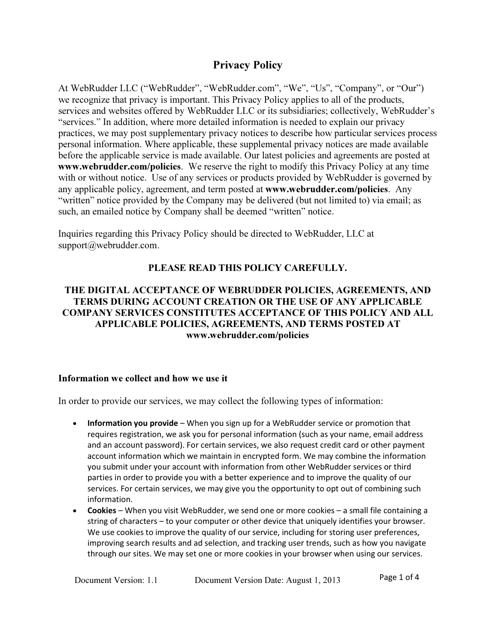# Privacy Policy

At WebRudder LLC ("WebRudder", "WebRudder.com", "We", "Us", "Company", or "Our") we recognize that privacy is important. This Privacy Policy applies to all of the products, services and websites offered by WebRudder LLC or its subsidiaries; collectively, WebRudder's "services." In addition, where more detailed information is needed to explain our privacy practices, we may post supplementary privacy notices to describe how particular services process personal information. Where applicable, these supplemental privacy notices are made available before the applicable service is made available. Our latest policies and agreements are posted at www.webrudder.com/policies. We reserve the right to modify this Privacy Policy at any time with or without notice. Use of any services or products provided by WebRudder is governed by any applicable policy, agreement, and term posted at www.webrudder.com/policies. Any "written" notice provided by the Company may be delivered (but not limited to) via email; as such, an emailed notice by Company shall be deemed "written" notice.

Inquiries regarding this Privacy Policy should be directed to WebRudder, LLC at support@webrudder.com.

#### PLEASE READ THIS POLICY CAREFULLY.

#### THE DIGITAL ACCEPTANCE OF WEBRUDDER POLICIES, AGREEMENTS, AND TERMS DURING ACCOUNT CREATION OR THE USE OF ANY APPLICABLE COMPANY SERVICES CONSTITUTES ACCEPTANCE OF THIS POLICY AND ALL APPLICABLE POLICIES, AGREEMENTS, AND TERMS POSTED AT www.webrudder.com/policies

#### Information we collect and how we use it

In order to provide our services, we may collect the following types of information:

- Information you provide When you sign up for a WebRudder service or promotion that requires registration, we ask you for personal information (such as your name, email address and an account password). For certain services, we also request credit card or other payment account information which we maintain in encrypted form. We may combine the information you submit under your account with information from other WebRudder services or third parties in order to provide you with a better experience and to improve the quality of our services. For certain services, we may give you the opportunity to opt out of combining such information.
- Cookies When you visit WebRudder, we send one or more cookies a small file containing a string of characters – to your computer or other device that uniquely identifies your browser. We use cookies to improve the quality of our service, including for storing user preferences, improving search results and ad selection, and tracking user trends, such as how you navigate through our sites. We may set one or more cookies in your browser when using our services.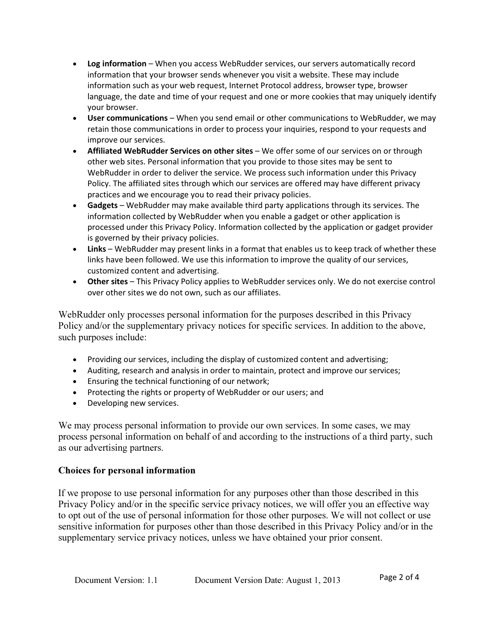- Log information When you access WebRudder services, our servers automatically record information that your browser sends whenever you visit a website. These may include information such as your web request, Internet Protocol address, browser type, browser language, the date and time of your request and one or more cookies that may uniquely identify your browser.
- User communications When you send email or other communications to WebRudder, we may retain those communications in order to process your inquiries, respond to your requests and improve our services.
- Affiliated WebRudder Services on other sites We offer some of our services on or through other web sites. Personal information that you provide to those sites may be sent to WebRudder in order to deliver the service. We process such information under this Privacy Policy. The affiliated sites through which our services are offered may have different privacy practices and we encourage you to read their privacy policies.
- Gadgets WebRudder may make available third party applications through its services. The information collected by WebRudder when you enable a gadget or other application is processed under this Privacy Policy. Information collected by the application or gadget provider is governed by their privacy policies.
- Links WebRudder may present links in a format that enables us to keep track of whether these links have been followed. We use this information to improve the quality of our services, customized content and advertising.
- Other sites This Privacy Policy applies to WebRudder services only. We do not exercise control over other sites we do not own, such as our affiliates.

WebRudder only processes personal information for the purposes described in this Privacy Policy and/or the supplementary privacy notices for specific services. In addition to the above, such purposes include:

- Providing our services, including the display of customized content and advertising;
- Auditing, research and analysis in order to maintain, protect and improve our services;
- Ensuring the technical functioning of our network;
- Protecting the rights or property of WebRudder or our users; and
- Developing new services.

We may process personal information to provide our own services. In some cases, we may process personal information on behalf of and according to the instructions of a third party, such as our advertising partners.

#### Choices for personal information

If we propose to use personal information for any purposes other than those described in this Privacy Policy and/or in the specific service privacy notices, we will offer you an effective way to opt out of the use of personal information for those other purposes. We will not collect or use sensitive information for purposes other than those described in this Privacy Policy and/or in the supplementary service privacy notices, unless we have obtained your prior consent.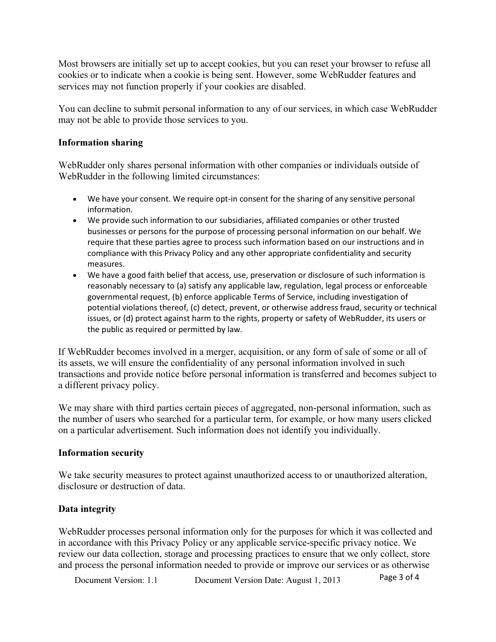Most browsers are initially set up to accept cookies, but you can reset your browser to refuse all cookies or to indicate when a cookie is being sent. However, some WebRudder features and services may not function properly if your cookies are disabled.

You can decline to submit personal information to any of our services, in which case WebRudder may not be able to provide those services to you.

#### Information sharing

WebRudder only shares personal information with other companies or individuals outside of WebRudder in the following limited circumstances:

- We have your consent. We require opt-in consent for the sharing of any sensitive personal information.
- We provide such information to our subsidiaries, affiliated companies or other trusted businesses or persons for the purpose of processing personal information on our behalf. We require that these parties agree to process such information based on our instructions and in compliance with this Privacy Policy and any other appropriate confidentiality and security measures.
- We have a good faith belief that access, use, preservation or disclosure of such information is reasonably necessary to (a) satisfy any applicable law, regulation, legal process or enforceable governmental request, (b) enforce applicable Terms of Service, including investigation of potential violations thereof, (c) detect, prevent, or otherwise address fraud, security or technical issues, or (d) protect against harm to the rights, property or safety of WebRudder, its users or the public as required or permitted by law.

If WebRudder becomes involved in a merger, acquisition, or any form of sale of some or all of its assets, we will ensure the confidentiality of any personal information involved in such transactions and provide notice before personal information is transferred and becomes subject to a different privacy policy.

We may share with third parties certain pieces of aggregated, non-personal information, such as the number of users who searched for a particular term, for example, or how many users clicked on a particular advertisement. Such information does not identify you individually.

# Information security

We take security measures to protect against unauthorized access to or unauthorized alteration, disclosure or destruction of data.

# Data integrity

WebRudder processes personal information only for the purposes for which it was collected and in accordance with this Privacy Policy or any applicable service-specific privacy notice. We review our data collection, storage and processing practices to ensure that we only collect, store and process the personal information needed to provide or improve our services or as otherwise